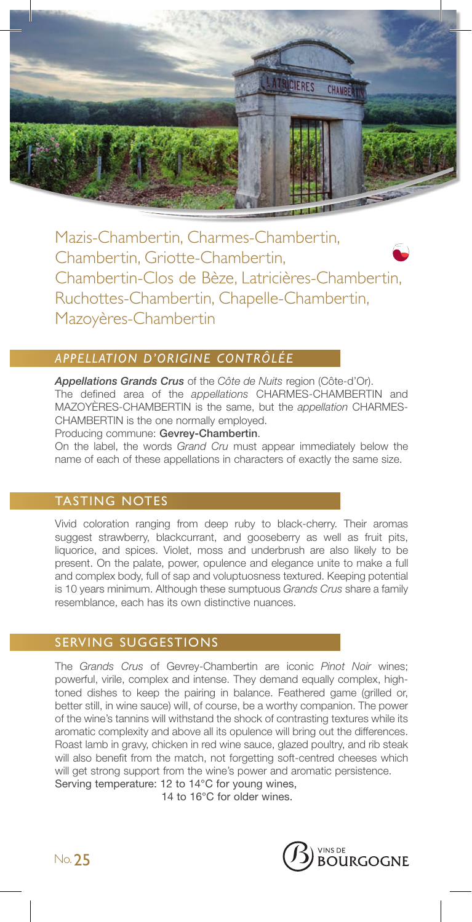

Mazis-Chambertin, Charmes-Chambertin, Chambertin, Griotte-Chambertin, Chambertin-Clos de Bèze, Latricières-Chambertin, Ruchottes-Chambertin, Chapelle-Chambertin, Mazoyères-Chambertin

# *APPELLATION D'ORIGINE CONTRÔLÉE*

*Appellations Grands Crus* of the *Côte de Nuits* region (Côte-d'Or). The defined area of the *appellations* CHARMES-CHAMBERTIN and MAZOYÈRES-CHAMBERTIN is the same, but the *appellation* CHARMES-CHAMBERTIN is the one normally employed.

Producing commune: Gevrey-Chambertin.

On the label, the words *Grand Cru* must appear immediately below the name of each of these appellations in characters of exactly the same size.

## TASTING NOTES

Vivid coloration ranging from deep ruby to black-cherry. Their aromas suggest strawberry, blackcurrant, and gooseberry as well as fruit pits, liquorice, and spices. Violet, moss and underbrush are also likely to be present. On the palate, power, opulence and elegance unite to make a full and complex body, full of sap and voluptuosness textured. Keeping potential is 10 years minimum. Although these sumptuous *Grands Crus* share a family resemblance, each has its own distinctive nuances.

### SERVING SUGGESTIONS

The *Grands Crus* of Gevrey-Chambertin are iconic *Pinot Noir* wines; powerful, virile, complex and intense. They demand equally complex, hightoned dishes to keep the pairing in balance. Feathered game (grilled or, better still, in wine sauce) will, of course, be a worthy companion. The power of the wine's tannins will withstand the shock of contrasting textures while its aromatic complexity and above all its opulence will bring out the differences. Roast lamb in gravy, chicken in red wine sauce, glazed poultry, and rib steak will also benefit from the match, not forgetting soft-centred cheeses which will get strong support from the wine's power and aromatic persistence. Serving temperature: 12 to 14°C for young wines,

14 to 16°C for older wines.